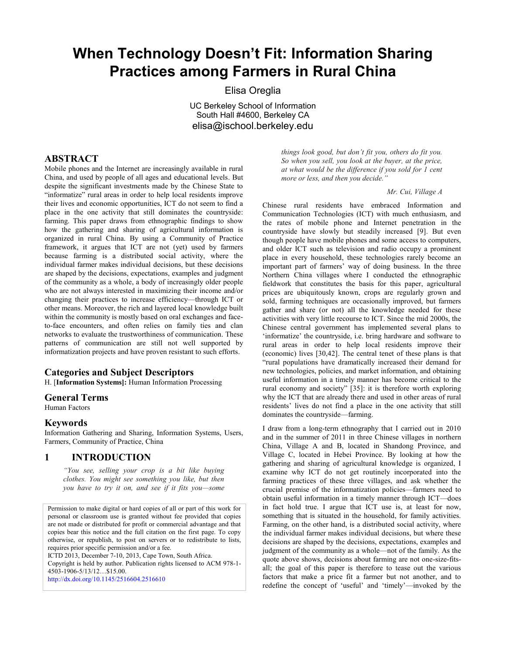# **When Technology Doesn't Fit: Information Sharing Practices among Farmers in Rural China**

Elisa Oreglia

UC Berkeley School of Information South Hall #4600, Berkeley CA elisa@ischool.berkeley.edu

# **ABSTRACT**

Mobile phones and the Internet are increasingly available in rural China, and used by people of all ages and educational levels. But despite the significant investments made by the Chinese State to "informatize" rural areas in order to help local residents improve their lives and economic opportunities, ICT do not seem to find a place in the one activity that still dominates the countryside: farming. This paper draws from ethnographic findings to show how the gathering and sharing of agricultural information is organized in rural China. By using a Community of Practice framework, it argues that ICT are not (yet) used by farmers because farming is a distributed social activity, where the individual farmer makes individual decisions, but these decisions are shaped by the decisions, expectations, examples and judgment of the community as a whole, a body of increasingly older people who are not always interested in maximizing their income and/or changing their practices to increase efficiency—through ICT or other means. Moreover, the rich and layered local knowledge built within the community is mostly based on oral exchanges and faceto-face encounters, and often relies on family ties and clan networks to evaluate the trustworthiness of communication. These patterns of communication are still not well supported by informatization projects and have proven resistant to such efforts.

## **Categories and Subject Descriptors**

H. [**Information Systems]:** Human Information Processing

#### **General Terms**

Human Factors

#### **Keywords**

Information Gathering and Sharing, Information Systems, Users, Farmers, Community of Practice, China

## **1 INTRODUCTION**

*"You see, selling your crop is a bit like buying clothes. You might see something you like, but then you have to try it on, and see if it fits you—some* 

ICTD 2013, December 7-10, 2013, Cape Town, South Africa. Copyright is held by author. Publication rights licensed to ACM 978-1- 4503-1906-5/13/12…\$15.00. <http://dx.doi.org/10.1145/2516604.2516610>

*things look good, but don't fit you, others do fit you. So when you sell, you look at the buyer, at the price, at what would be the difference if you sold for 1 cent more or less, and then you decide."* 

#### *Mr. Cui, Village A*

Chinese rural residents have embraced Information and Communication Technologies (ICT) with much enthusiasm, and the rates of mobile phone and Internet penetration in the countryside have slowly but steadily increased [9]. But even though people have mobile phones and some access to computers, and older ICT such as television and radio occupy a prominent place in every household, these technologies rarely become an important part of farmers' way of doing business. In the three Northern China villages where I conducted the ethnographic fieldwork that constitutes the basis for this paper, agricultural prices are ubiquitously known, crops are regularly grown and sold, farming techniques are occasionally improved, but farmers gather and share (or not) all the knowledge needed for these activities with very little recourse to ICT. Since the mid 2000s, the Chinese central government has implemented several plans to 'informatize' the countryside, i.e. bring hardware and software to rural areas in order to help local residents improve their (economic) lives [30,42]. The central tenet of these plans is that "rural populations have dramatically increased their demand for new technologies, policies, and market information, and obtaining useful information in a timely manner has become critical to the rural economy and society" [35]: it is therefore worth exploring why the ICT that are already there and used in other areas of rural residents' lives do not find a place in the one activity that still dominates the countryside—farming.

I draw from a long-term ethnography that I carried out in 2010 and in the summer of 2011 in three Chinese villages in northern China, Village A and B, located in Shandong Province, and Village C, located in Hebei Province. By looking at how the gathering and sharing of agricultural knowledge is organized, I examine why ICT do not get routinely incorporated into the farming practices of these three villages, and ask whether the crucial premise of the informatization policies—farmers need to obtain useful information in a timely manner through ICT—does in fact hold true. I argue that ICT use is, at least for now, something that is situated in the household, for family activities. Farming, on the other hand, is a distributed social activity, where the individual farmer makes individual decisions, but where these decisions are shaped by the decisions, expectations, examples and judgment of the community as a whole—not of the family. As the quote above shows, decisions about farming are not one-size-fitsall; the goal of this paper is therefore to tease out the various factors that make a price fit a farmer but not another, and to redefine the concept of 'useful' and 'timely'—invoked by the

Permission to make digital or hard copies of all or part of this work for personal or classroom use is granted without fee provided that copies are not made or distributed for profit or commercial advantage and that copies bear this notice and the full citation on the first page. To copy otherwise, or republish, to post on servers or to redistribute to lists, requires prior specific permission and/or a fee.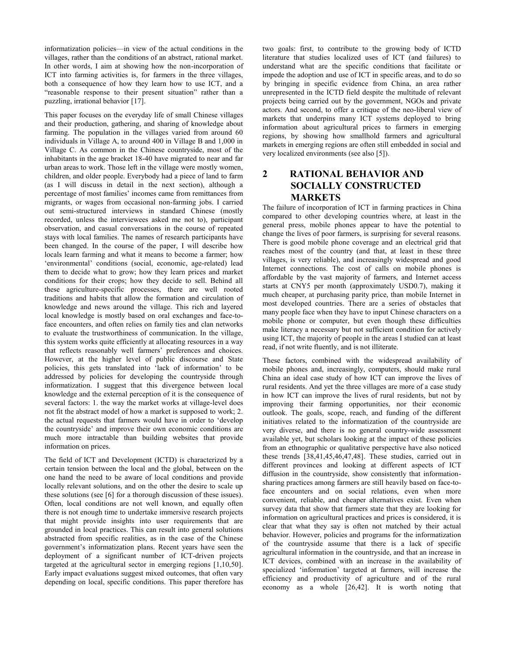informatization policies—in view of the actual conditions in the villages, rather than the conditions of an abstract, rational market. In other words, I aim at showing how the non-incorporation of ICT into farming activities is, for farmers in the three villages, both a consequence of how they learn how to use ICT, and a "reasonable response to their present situation" rather than a puzzling, irrational behavior [17].

This paper focuses on the everyday life of small Chinese villages and their production, gathering, and sharing of knowledge about farming. The population in the villages varied from around 60 individuals in Village A, to around 400 in Village B and 1,000 in Village C. As common in the Chinese countryside, most of the inhabitants in the age bracket 18-40 have migrated to near and far urban areas to work. Those left in the village were mostly women, children, and older people. Everybody had a piece of land to farm (as I will discuss in detail in the next section), although a percentage of most families' incomes came from remittances from migrants, or wages from occasional non-farming jobs. I carried out semi-structured interviews in standard Chinese (mostly recorded, unless the interviewees asked me not to), participant observation, and casual conversations in the course of repeated stays with local families. The names of research participants have been changed. In the course of the paper, I will describe how locals learn farming and what it means to become a farmer; how 'environmental' conditions (social, economic, age-related) lead them to decide what to grow; how they learn prices and market conditions for their crops; how they decide to sell. Behind all these agriculture-specific processes, there are well rooted traditions and habits that allow the formation and circulation of knowledge and news around the village. This rich and layered local knowledge is mostly based on oral exchanges and face-toface encounters, and often relies on family ties and clan networks to evaluate the trustworthiness of communication. In the village, this system works quite efficiently at allocating resources in a way that reflects reasonably well farmers' preferences and choices. However, at the higher level of public discourse and State policies, this gets translated into 'lack of information' to be addressed by policies for developing the countryside through informatization. I suggest that this divergence between local knowledge and the external perception of it is the consequence of several factors: 1. the way the market works at village-level does not fit the abstract model of how a market is supposed to work; 2. the actual requests that farmers would have in order to 'develop the countryside' and improve their own economic conditions are much more intractable than building websites that provide information on prices.

The field of ICT and Development (ICTD) is characterized by a certain tension between the local and the global, between on the one hand the need to be aware of local conditions and provide locally relevant solutions, and on the other the desire to scale up these solutions (see [6] for a thorough discussion of these issues). Often, local conditions are not well known, and equally often there is not enough time to undertake immersive research projects that might provide insights into user requirements that are grounded in local practices. This can result into general solutions abstracted from specific realities, as in the case of the Chinese government's informatization plans. Recent years have seen the deployment of a significant number of ICT-driven projects targeted at the agricultural sector in emerging regions [1,10,50]. Early impact evaluations suggest mixed outcomes, that often vary depending on local, specific conditions. This paper therefore has two goals: first, to contribute to the growing body of ICTD literature that studies localized uses of ICT (and failures) to understand what are the specific conditions that facilitate or impede the adoption and use of ICT in specific areas, and to do so by bringing in specific evidence from China, an area rather unrepresented in the ICTD field despite the multitude of relevant projects being carried out by the government, NGOs and private actors. And second, to offer a critique of the neo-liberal view of markets that underpins many ICT systems deployed to bring information about agricultural prices to farmers in emerging regions, by showing how smallhold farmers and agricultural markets in emerging regions are often still embedded in social and very localized environments (see also [5]).

# **2 RATIONAL BEHAVIOR AND SOCIALLY CONSTRUCTED MARKETS**

The failure of incorporation of ICT in farming practices in China compared to other developing countries where, at least in the general press, mobile phones appear to have the potential to change the lives of poor farmers, is surprising for several reasons. There is good mobile phone coverage and an electrical grid that reaches most of the country (and that, at least in these three villages, is very reliable), and increasingly widespread and good Internet connections. The cost of calls on mobile phones is affordable by the vast majority of farmers, and Internet access starts at CNY5 per month (approximately USD0.7), making it much cheaper, at purchasing parity price, than mobile Internet in most developed countries. There are a series of obstacles that many people face when they have to input Chinese characters on a mobile phone or computer, but even though these difficulties make literacy a necessary but not sufficient condition for actively using ICT, the majority of people in the areas I studied can at least read, if not write fluently, and is not illiterate.

These factors, combined with the widespread availability of mobile phones and, increasingly, computers, should make rural China an ideal case study of how ICT can improve the lives of rural residents. And yet the three villages are more of a case study in how ICT can improve the lives of rural residents, but not by improving their farming opportunities, nor their economic outlook. The goals, scope, reach, and funding of the different initiatives related to the informatization of the countryside are very diverse, and there is no general country-wide assessment available yet, but scholars looking at the impact of these policies from an ethnographic or qualitative perspective have also noticed these trends [38,41,45,46,47,48]. These studies, carried out in different provinces and looking at different aspects of ICT diffusion in the countryside, show consistently that informationsharing practices among farmers are still heavily based on face-toface encounters and on social relations, even when more convenient, reliable, and cheaper alternatives exist. Even when survey data that show that farmers state that they are looking for information on agricultural practices and prices is considered, it is clear that what they say is often not matched by their actual behavior. However, policies and programs for the informatization of the countryside assume that there is a lack of specific agricultural information in the countryside, and that an increase in ICT devices, combined with an increase in the availability of specialized 'information' targeted at farmers, will increase the efficiency and productivity of agriculture and of the rural economy as a whole [26,42]. It is worth noting that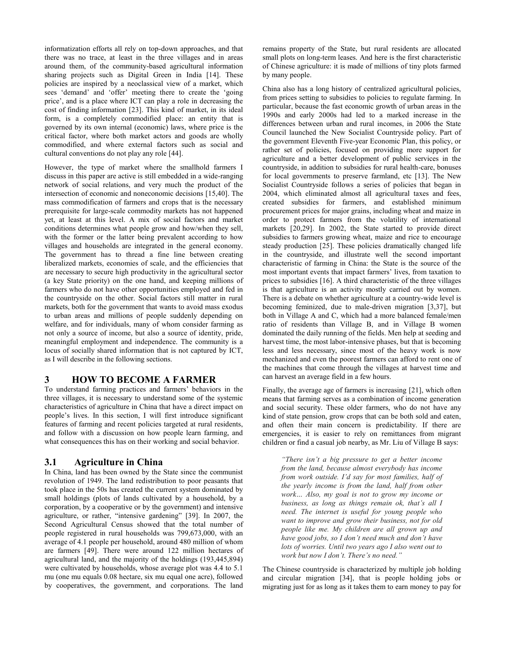informatization efforts all rely on top-down approaches, and that there was no trace, at least in the three villages and in areas around them, of the community-based agricultural information sharing projects such as Digital Green in India [14]. These policies are inspired by a neoclassical view of a market, which sees 'demand' and 'offer' meeting there to create the 'going price', and is a place where ICT can play a role in decreasing the cost of finding information [23]. This kind of market, in its ideal form, is a completely commodified place: an entity that is governed by its own internal (economic) laws, where price is the critical factor, where both market actors and goods are wholly commodified, and where external factors such as social and cultural conventions do not play any role [44].

However, the type of market where the smallhold farmers I discuss in this paper are active is still embedded in a wide-ranging network of social relations, and very much the product of the intersection of economic and noneconomic decisions [15,40]. The mass commodification of farmers and crops that is the necessary prerequisite for large-scale commodity markets has not happened yet, at least at this level. A mix of social factors and market conditions determines what people grow and how/when they sell, with the former or the latter being prevalent according to how villages and households are integrated in the general economy. The government has to thread a fine line between creating liberalized markets, economies of scale, and the efficiencies that are necessary to secure high productivity in the agricultural sector (a key State priority) on the one hand, and keeping millions of farmers who do not have other opportunities employed and fed in the countryside on the other. Social factors still matter in rural markets, both for the government that wants to avoid mass exodus to urban areas and millions of people suddenly depending on welfare, and for individuals, many of whom consider farming as not only a source of income, but also a source of identity, pride, meaningful employment and independence. The community is a locus of socially shared information that is not captured by ICT, as I will describe in the following sections.

## **3 HOW TO BECOME A FARMER**

To understand farming practices and farmers' behaviors in the three villages, it is necessary to understand some of the systemic characteristics of agriculture in China that have a direct impact on people's lives. In this section, I will first introduce significant features of farming and recent policies targeted at rural residents, and follow with a discussion on how people learn farming, and what consequences this has on their working and social behavior.

## **3.1 Agriculture in China**

In China, land has been owned by the State since the communist revolution of 1949. The land redistribution to poor peasants that took place in the 50s has created the current system dominated by small holdings (plots of lands cultivated by a household, by a corporation, by a cooperative or by the government) and intensive agriculture, or rather, "intensive gardening" [39]. In 2007, the Second Agricultural Census showed that the total number of people registered in rural households was 799,673,000, with an average of 4.1 people per household, around 480 million of whom are farmers [49]. There were around 122 million hectares of agricultural land, and the majority of the holdings (193,445,894) were cultivated by households, whose average plot was 4.4 to 5.1 mu (one mu equals 0.08 hectare, six mu equal one acre), followed by cooperatives, the government, and corporations. The land

remains property of the State, but rural residents are allocated small plots on long-term leases. And here is the first characteristic of Chinese agriculture: it is made of millions of tiny plots farmed by many people.

China also has a long history of centralized agricultural policies, from prices setting to subsidies to policies to regulate farming. In particular, because the fast economic growth of urban areas in the 1990s and early 2000s had led to a marked increase in the differences between urban and rural incomes, in 2006 the State Council launched the New Socialist Countryside policy. Part of the government Eleventh Five-year Economic Plan, this policy, or rather set of policies, focused on providing more support for agriculture and a better development of public services in the countryside, in addition to subsidies for rural health-care, bonuses for local governments to preserve farmland, etc [13]. The New Socialist Countryside follows a series of policies that began in 2004, which eliminated almost all agricultural taxes and fees, created subsidies for farmers, and established minimum procurement prices for major grains, including wheat and maize in order to protect farmers from the volatility of international markets [20,29]. In 2002, the State started to provide direct subsidies to farmers growing wheat, maize and rice to encourage steady production [25]. These policies dramatically changed life in the countryside, and illustrate well the second important characteristic of farming in China: the State is the source of the most important events that impact farmers' lives, from taxation to prices to subsidies [16]. A third characteristic of the three villages is that agriculture is an activity mostly carried out by women. There is a debate on whether agriculture at a country-wide level is becoming feminized, due to male-driven migration [3,37], but both in Village A and C, which had a more balanced female/men ratio of residents than Village B, and in Village B women dominated the daily running of the fields. Men help at seeding and harvest time, the most labor-intensive phases, but that is becoming less and less necessary, since most of the heavy work is now mechanized and even the poorest farmers can afford to rent one of the machines that come through the villages at harvest time and can harvest an average field in a few hours.

Finally, the average age of farmers is increasing [21], which often means that farming serves as a combination of income generation and social security. These older farmers, who do not have any kind of state pension, grow crops that can be both sold and eaten, and often their main concern is predictability. If there are emergencies, it is easier to rely on remittances from migrant children or find a casual job nearby, as Mr. Liu of Village B says:

*"There isn't a big pressure to get a better income from the land, because almost everybody has income from work outside. I'd say for most families, half of the yearly income is from the land, half from other work… Also, my goal is not to grow my income or business, as long as things remain ok, that's all I need. The internet is useful for young people who want to improve and grow their business, not for old people like me. My children are all grown up and have good jobs, so I don't need much and don't have lots of worries. Until two years ago I also went out to work but now I don't. There's no need."* 

The Chinese countryside is characterized by multiple job holding and circular migration [34], that is people holding jobs or migrating just for as long as it takes them to earn money to pay for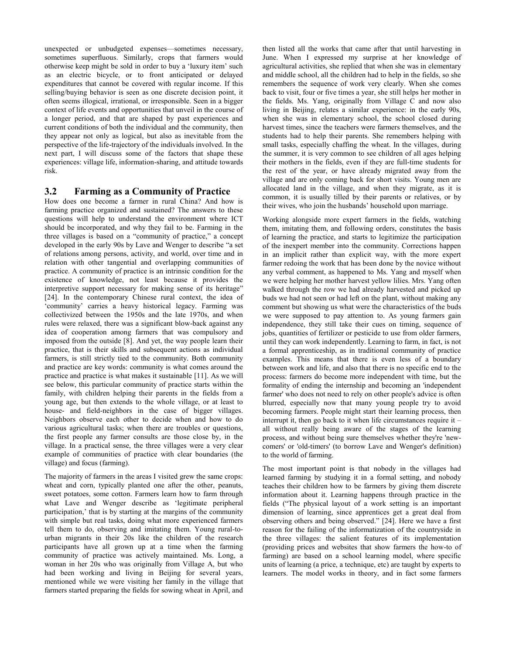unexpected or unbudgeted expenses—sometimes necessary, sometimes superfluous. Similarly, crops that farmers would otherwise keep might be sold in order to buy a 'luxury item' such as an electric bicycle, or to front anticipated or delayed expenditures that cannot be covered with regular income. If this selling/buying behavior is seen as one discrete decision point, it often seems illogical, irrational, or irresponsible. Seen in a bigger context of life events and opportunities that unveil in the course of a longer period, and that are shaped by past experiences and current conditions of both the individual and the community, then they appear not only as logical, but also as inevitable from the perspective of the life-trajectory of the individuals involved. In the next part, I will discuss some of the factors that shape these experiences: village life, information-sharing, and attitude towards risk.

## **3.2 Farming as a Community of Practice**

How does one become a farmer in rural China? And how is farming practice organized and sustained? The answers to these questions will help to understand the environment where ICT should be incorporated, and why they fail to be. Farming in the three villages is based on a "community of practice," a concept developed in the early 90s by Lave and Wenger to describe "a set of relations among persons, activity, and world, over time and in relation with other tangential and overlapping communities of practice. A community of practice is an intrinsic condition for the existence of knowledge, not least because it provides the interpretive support necessary for making sense of its heritage" [24]. In the contemporary Chinese rural context, the idea of 'community' carries a heavy historical legacy. Farming was collectivized between the 1950s and the late 1970s, and when rules were relaxed, there was a significant blow-back against any idea of cooperation among farmers that was compulsory and imposed from the outside [8]. And yet, the way people learn their practice, that is their skills and subsequent actions as individual farmers, is still strictly tied to the community. Both community and practice are key words: community is what comes around the practice and practice is what makes it sustainable [11]. As we will see below, this particular community of practice starts within the family, with children helping their parents in the fields from a young age, but then extends to the whole village, or at least to house- and field-neighbors in the case of bigger villages. Neighbors observe each other to decide when and how to do various agricultural tasks; when there are troubles or questions, the first people any farmer consults are those close by, in the village. In a practical sense, the three villages were a very clear example of communities of practice with clear boundaries (the village) and focus (farming).

The majority of farmers in the areas I visited grew the same crops: wheat and corn, typically planted one after the other, peanuts, sweet potatoes, some cotton. Farmers learn how to farm through what Lave and Wenger describe as 'legitimate peripheral participation,' that is by starting at the margins of the community with simple but real tasks, doing what more experienced farmers tell them to do, observing and imitating them. Young rural-tourban migrants in their 20s like the children of the research participants have all grown up at a time when the farming community of practice was actively maintained. Ms. Long, a woman in her 20s who was originally from Village A, but who had been working and living in Beijing for several years, mentioned while we were visiting her family in the village that farmers started preparing the fields for sowing wheat in April, and

then listed all the works that came after that until harvesting in June. When I expressed my surprise at her knowledge of agricultural activities, she replied that when she was in elementary and middle school, all the children had to help in the fields, so she remembers the sequence of work very clearly. When she comes back to visit, four or five times a year, she still helps her mother in the fields. Ms. Yang, originally from Village  $\overline{C}$  and now also living in Beijing, relates a similar experience: in the early 90s, when she was in elementary school, the school closed during harvest times, since the teachers were farmers themselves, and the students had to help their parents. She remembers helping with small tasks, especially chaffing the wheat. In the villages, during the summer, it is very common to see children of all ages helping their mothers in the fields, even if they are full-time students for the rest of the year, or have already migrated away from the village and are only coming back for short visits. Young men are allocated land in the village, and when they migrate, as it is common, it is usually tilled by their parents or relatives, or by their wives, who join the husbands' household upon marriage.

Working alongside more expert farmers in the fields, watching them, imitating them, and following orders, constitutes the basis of learning the practice, and starts to legitimize the participation of the inexpert member into the community. Corrections happen in an implicit rather than explicit way, with the more expert farmer redoing the work that has been done by the novice without any verbal comment, as happened to Ms. Yang and myself when we were helping her mother harvest yellow lilies. Mrs. Yang often walked through the row we had already harvested and picked up buds we had not seen or had left on the plant, without making any comment but showing us what were the characteristics of the buds we were supposed to pay attention to. As young farmers gain independence, they still take their cues on timing, sequence of jobs, quantities of fertilizer or pesticide to use from older farmers, until they can work independently. Learning to farm, in fact, is not a formal apprenticeship, as in traditional community of practice examples. This means that there is even less of a boundary between work and life, and also that there is no specific end to the process: farmers do become more independent with time, but the formality of ending the internship and becoming an 'independent farmer' who does not need to rely on other people's advice is often blurred, especially now that many young people try to avoid becoming farmers. People might start their learning process, then interrupt it, then go back to it when life circumstances require it – all without really being aware of the stages of the learning process, and without being sure themselves whether they're 'newcomers' or 'old-timers' (to borrow Lave and Wenger's definition) to the world of farming.

The most important point is that nobody in the villages had learned farming by studying it in a formal setting, and nobody teaches their children how to be farmers by giving them discrete information about it. Learning happens through practice in the fields ("The physical layout of a work setting is an important dimension of learning, since apprentices get a great deal from observing others and being observed." [24]. Here we have a first reason for the failing of the informatization of the countryside in the three villages: the salient features of its implementation (providing prices and websites that show farmers the how-to of farming) are based on a school learning model, where specific units of learning (a price, a technique, etc) are taught by experts to learners. The model works in theory, and in fact some farmers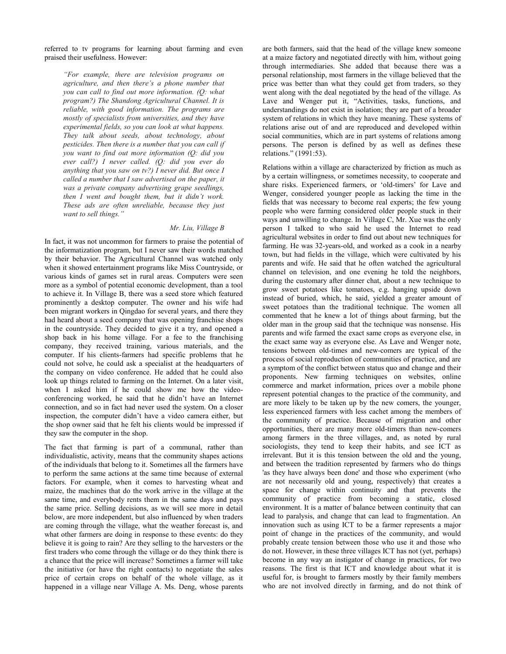referred to tv programs for learning about farming and even praised their usefulness. However:

*"For example, there are television programs on agriculture, and then there's a phone number that you can call to find out more information. (Q: what program?) The Shandong Agricultural Channel. It is reliable, with good information. The programs are mostly of specialists from universities, and they have experimental fields, so you can look at what happens. They talk about seeds, about technology, about pesticides. Then there is a number that you can call if you want to find out more information (Q: did you ever call?) I never called. (Q: did you ever do anything that you saw on tv?) I never did. But once I called a number that I saw advertised on the paper, it was a private company advertising grape seedlings, then I went and bought them, but it didn't work. These ads are often unreliable, because they just want to sell things."* 

#### *Mr. Liu, Village B*

In fact, it was not uncommon for farmers to praise the potential of the informatization program, but I never saw their words matched by their behavior. The Agricultural Channel was watched only when it showed entertainment programs like Miss Countryside, or various kinds of games set in rural areas. Computers were seen more as a symbol of potential economic development, than a tool to achieve it. In Village B, there was a seed store which featured prominently a desktop computer. The owner and his wife had been migrant workers in Qingdao for several years, and there they had heard about a seed company that was opening franchise shops in the countryside. They decided to give it a try, and opened a shop back in his home village. For a fee to the franchising company, they received training, various materials, and the computer. If his clients-farmers had specific problems that he could not solve, he could ask a specialist at the headquarters of the company on video conference. He added that he could also look up things related to farming on the Internet. On a later visit, when I asked him if he could show me how the videoconferencing worked, he said that he didn't have an Internet connection, and so in fact had never used the system. On a closer inspection, the computer didn't have a video camera either, but the shop owner said that he felt his clients would be impressed if they saw the computer in the shop.

The fact that farming is part of a communal, rather than individualistic, activity, means that the community shapes actions of the individuals that belong to it. Sometimes all the farmers have to perform the same actions at the same time because of external factors. For example, when it comes to harvesting wheat and maize, the machines that do the work arrive in the village at the same time, and everybody rents them in the same days and pays the same price. Selling decisions, as we will see more in detail below, are more independent, but also influenced by when traders are coming through the village, what the weather forecast is, and what other farmers are doing in response to these events: do they believe it is going to rain? Are they selling to the harvesters or the first traders who come through the village or do they think there is a chance that the price will increase? Sometimes a farmer will take the initiative (or have the right contacts) to negotiate the sales price of certain crops on behalf of the whole village, as it happened in a village near Village A. Ms. Deng, whose parents

are both farmers, said that the head of the village knew someone at a maize factory and negotiated directly with him, without going through intermediaries. She added that because there was a personal relationship, most farmers in the village believed that the price was better than what they could get from traders, so they went along with the deal negotiated by the head of the village. As Lave and Wenger put it, "Activities, tasks, functions, and understandings do not exist in isolation; they are part of a broader system of relations in which they have meaning. These systems of relations arise out of and are reproduced and developed within social communities, which are in part systems of relations among persons. The person is defined by as well as defines these relations." (1991:53).

Relations within a village are characterized by friction as much as by a certain willingness, or sometimes necessity, to cooperate and share risks. Experienced farmers, or 'old-timers' for Lave and Wenger, considered younger people as lacking the time in the fields that was necessary to become real experts; the few young people who were farming considered older people stuck in their ways and unwilling to change. In Village C, Mr. Xue was the only person I talked to who said he used the Internet to read agricultural websites in order to find out about new techniques for farming. He was 32-years-old, and worked as a cook in a nearby town, but had fields in the village, which were cultivated by his parents and wife. He said that he often watched the agricultural channel on television, and one evening he told the neighbors, during the customary after dinner chat, about a new technique to grow sweet potatoes like tomatoes, e.g. hanging upside down instead of buried, which, he said, yielded a greater amount of sweet potatoes than the traditional technique. The women all commented that he knew a lot of things about farming, but the older man in the group said that the technique was nonsense. His parents and wife farmed the exact same crops as everyone else, in the exact same way as everyone else. As Lave and Wenger note, tensions between old-times and new-comers are typical of the process of social reproduction of communities of practice, and are a symptom of the conflict between status quo and change and their proponents. New farming techniques on websites, online commerce and market information, prices over a mobile phone represent potential changes to the practice of the community, and are more likely to be taken up by the new comers, the younger, less experienced farmers with less cachet among the members of the community of practice. Because of migration and other opportunities, there are many more old-timers than new-comers among farmers in the three villages, and, as noted by rural sociologists, they tend to keep their habits, and see ICT as irrelevant. But it is this tension between the old and the young, and between the tradition represented by farmers who do things 'as they have always been done' and those who experiment (who are not necessarily old and young, respectively) that creates a space for change within continuity and that prevents the community of practice from becoming a static, closed environment. It is a matter of balance between continuity that can lead to paralysis, and change that can lead to fragmentation. An innovation such as using ICT to be a farmer represents a major point of change in the practices of the community, and would probably create tension between those who use it and those who do not. However, in these three villages ICT has not (yet, perhaps) become in any way an instigator of change in practices, for two reasons. The first is that ICT and knowledge about what it is useful for, is brought to farmers mostly by their family members who are not involved directly in farming, and do not think of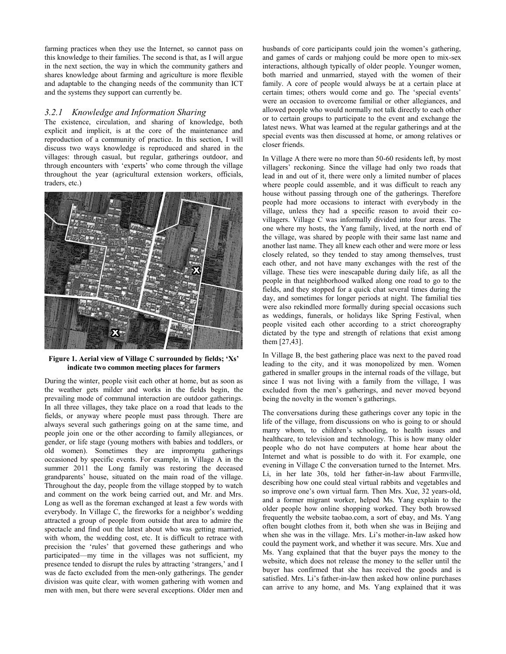farming practices when they use the Internet, so cannot pass on this knowledge to their families. The second is that, as I will argue in the next section, the way in which the community gathers and shares knowledge about farming and agriculture is more flexible and adaptable to the changing needs of the community than ICT and the systems they support can currently be.

#### *3.2.1 Knowledge and Information Sharing*

The existence, circulation, and sharing of knowledge, both explicit and implicit, is at the core of the maintenance and reproduction of a community of practice. In this section, I will discuss two ways knowledge is reproduced and shared in the villages: through casual, but regular, gatherings outdoor, and through encounters with 'experts' who come through the village throughout the year (agricultural extension workers, officials, traders, etc.)



**Figure 1. Aerial view of Village C surrounded by fields; 'Xs' indicate two common meeting places for farmers**

During the winter, people visit each other at home, but as soon as the weather gets milder and works in the fields begin, the prevailing mode of communal interaction are outdoor gatherings. In all three villages, they take place on a road that leads to the fields, or anyway where people must pass through. There are always several such gatherings going on at the same time, and people join one or the other according to family allegiances, or gender, or life stage (young mothers with babies and toddlers, or old women). Sometimes they are impromptu gatherings occasioned by specific events. For example, in Village A in the summer 2011 the Long family was restoring the deceased grandparents' house, situated on the main road of the village. Throughout the day, people from the village stopped by to watch and comment on the work being carried out, and Mr. and Mrs. Long as well as the foreman exchanged at least a few words with everybody. In Village C, the fireworks for a neighbor's wedding attracted a group of people from outside that area to admire the spectacle and find out the latest about who was getting married, with whom, the wedding cost, etc. It is difficult to retrace with precision the 'rules' that governed these gatherings and who participated—my time in the villages was not sufficient, my presence tended to disrupt the rules by attracting 'strangers,' and I was de facto excluded from the men-only gatherings. The gender division was quite clear, with women gathering with women and men with men, but there were several exceptions. Older men and

husbands of core participants could join the women's gathering, and games of cards or mahjong could be more open to mix-sex interactions, although typically of older people. Younger women, both married and unmarried, stayed with the women of their family. A core of people would always be at a certain place at certain times; others would come and go. The 'special events' were an occasion to overcome familial or other allegiances, and allowed people who would normally not talk directly to each other or to certain groups to participate to the event and exchange the latest news. What was learned at the regular gatherings and at the special events was then discussed at home, or among relatives or closer friends.

In Village A there were no more than 50-60 residents left, by most villagers' reckoning. Since the village had only two roads that lead in and out of it, there were only a limited number of places where people could assemble, and it was difficult to reach any house without passing through one of the gatherings. Therefore people had more occasions to interact with everybody in the village, unless they had a specific reason to avoid their covillagers. Village C was informally divided into four areas. The one where my hosts, the Yang family, lived, at the north end of the village, was shared by people with their same last name and another last name. They all knew each other and were more or less closely related, so they tended to stay among themselves, trust each other, and not have many exchanges with the rest of the village. These ties were inescapable during daily life, as all the people in that neighborhood walked along one road to go to the fields, and they stopped for a quick chat several times during the day, and sometimes for longer periods at night. The familial ties were also rekindled more formally during special occasions such as weddings, funerals, or holidays like Spring Festival, when people visited each other according to a strict choreography dictated by the type and strength of relations that exist among them [27,43].

In Village B, the best gathering place was next to the paved road leading to the city, and it was monopolized by men. Women gathered in smaller groups in the internal roads of the village, but since I was not living with a family from the village, I was excluded from the men's gatherings, and never moved beyond being the novelty in the women's gatherings.

The conversations during these gatherings cover any topic in the life of the village, from discussions on who is going to or should marry whom, to children's schooling, to health issues and healthcare, to television and technology. This is how many older people who do not have computers at home hear about the Internet and what is possible to do with it. For example, one evening in Village C the conversation turned to the Internet. Mrs. Li, in her late 30s, told her father-in-law about Farmville, describing how one could steal virtual rabbits and vegetables and so improve one's own virtual farm. Then Mrs. Xue, 32 years-old, and a former migrant worker, helped Ms. Yang explain to the older people how online shopping worked. They both browsed frequently the website taobao.com, a sort of ebay, and Ms. Yang often bought clothes from it, both when she was in Beijing and when she was in the village. Mrs. Li's mother-in-law asked how could the payment work, and whether it was secure. Mrs. Xue and Ms. Yang explained that that the buyer pays the money to the website, which does not release the money to the seller until the buyer has confirmed that she has received the goods and is satisfied. Mrs. Li's father-in-law then asked how online purchases can arrive to any home, and Ms. Yang explained that it was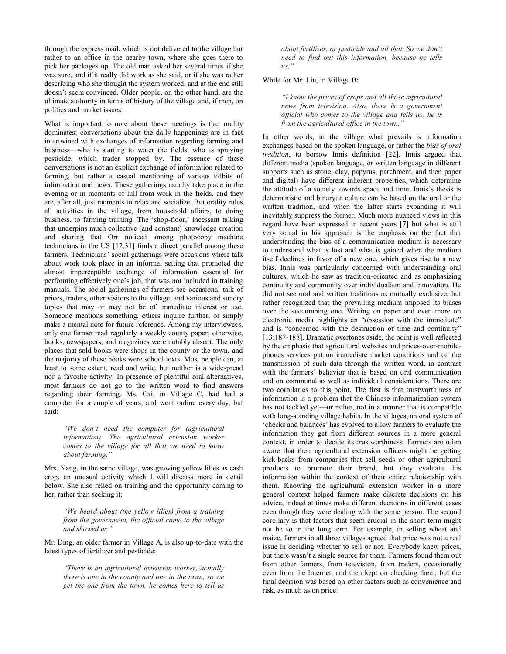through the express mail, which is not delivered to the village but rather to an office in the nearby town, where she goes there to pick her packages up. The old man asked her several times if she was sure, and if it really did work as she said, or if she was rather describing who she thought the system worked, and at the end still doesn't seem convinced. Older people, on the other hand, are the ultimate authority in terms of history of the village and, if men, on politics and market issues.

What is important to note about these meetings is that orality dominates: conversations about the daily happenings are in fact intertwined with exchanges of information regarding farming and business—who is starting to water the fields, who is spraying pesticide, which trader stopped by. The essence of these conversations is not an explicit exchange of information related to farming, but rather a casual mentioning of various tidbits of information and news. These gatherings usually take place in the evening or in moments of lull from work in the fields, and they are, after all, just moments to relax and socialize. But orality rules all activities in the village, from household affairs, to doing business, to farming training. The 'shop-floor,' incessant talking that underpins much collective (and constant) knowledge creation and sharing that Orr noticed among photocopy machine technicians in the US [12,31] finds a direct parallel among these farmers. Technicians' social gatherings were occasions where talk about work took place in an informal setting that promoted the almost imperceptible exchange of information essential for performing effectively one's job, that was not included in training manuals. The social gatherings of farmers see occasional talk of prices, traders, other visitors to the village, and various and sundry topics that may or may not be of immediate interest or use. Someone mentions something, others inquire further, or simply make a mental note for future reference. Among my interviewees, only one farmer read regularly a weekly county paper; otherwise, books, newspapers, and magazines were notably absent. The only places that sold books were shops in the county or the town, and the majority of these books were school texts. Most people can, at least to some extent, read and write, but neither is a widespread nor a favorite activity. In presence of plentiful oral alternatives, most farmers do not go to the written word to find answers regarding their farming. Ms. Cai, in Village C, had had a computer for a couple of years, and went online every day, but said:

#### *"We don't need the computer for (agricultural information). The agricultural extension worker comes to the village for all that we need to know about farming."*

Mrs. Yang, in the same village, was growing yellow lilies as cash crop, an unusual activity which I will discuss more in detail below. She also relied on training and the opportunity coming to her, rather than seeking it:

*"We heard about (the yellow lilies) from a training from the government, the official came to the village and showed us."*

Mr. Ding, an older farmer in Village A, is also up-to-date with the latest types of fertilizer and pesticide:

*"There is an agricultural extension worker, actually there is one in the county and one in the town, so we get the one from the town, he comes here to tell us* 

*about fertilizer, or pesticide and all that. So we don't need to find out this information, because he tells us."*

#### While for Mr. Liu, in Village B:

*"I know the prices of crops and all those agricultural news from television. Also, there is a government official who comes to the village and tells us, he is from the agricultural office in the town."*

In other words, in the village what prevails is information exchanges based on the spoken language, or rather the *bias of oral tradition*, to borrow Innis definition [22]. Innis argued that different media (spoken language, or written language in different supports such as stone, clay, papyrus, parchment, and then paper and digital) have different inherent properties, which determine the attitude of a society towards space and time. Innis's thesis is deterministic and binary: a culture can be based on the oral or the written tradition, and when the latter starts expanding it will inevitably suppress the former. Much more nuanced views in this regard have been expressed in recent years [7] but what is still very actual in his approach is the emphasis on the fact that understanding the bias of a communication medium is necessary to understand what is lost and what is gained when the medium itself declines in favor of a new one, which gives rise to a new bias. Innis was particularly concerned with understanding oral cultures, which he saw as tradition-oriented and as emphasizing continuity and community over individualism and innovation. He did not see oral and written traditions as mutually exclusive, but rather recognized that the prevailing medium imposed its biases over the succumbing one. Writing on paper and even more on electronic media highlights an "obsession with the immediate" and is "concerned with the destruction of time and continuity" [13:187-188]. Dramatic overtones aside, the point is well reflected by the emphasis that agricultural websites and prices-over-mobilephones services put on immediate market conditions and on the transmission of such data through the written word, in contrast with the farmers' behavior that is based on oral communication and on communal as well as individual considerations. There are two corollaries to this point. The first is that trustworthiness of information is a problem that the Chinese informatization system has not tackled yet—or rather, not in a manner that is compatible with long-standing village habits. In the villages, an oral system of 'checks and balances' has evolved to allow farmers to evaluate the information they get from different sources in a more general context, in order to decide its trustworthiness. Farmers are often aware that their agricultural extension officers might be getting kick-backs from companies that sell seeds or other agricultural products to promote their brand, but they evaluate this information within the context of their entire relationship with them. Knowing the agricultural extension worker in a more general context helped farmers make discrete decisions on his advice, indeed at times make different decisions in different cases even though they were dealing with the same person. The second corollary is that factors that seem crucial in the short term might not be so in the long term. For example, in selling wheat and maize, farmers in all three villages agreed that price was not a real issue in deciding whether to sell or not. Everybody knew prices, but there wasn't a single source for them. Farmers found them out from other farmers, from television, from traders, occasionally even from the Internet, and then kept on checking them, but the final decision was based on other factors such as convenience and risk, as much as on price: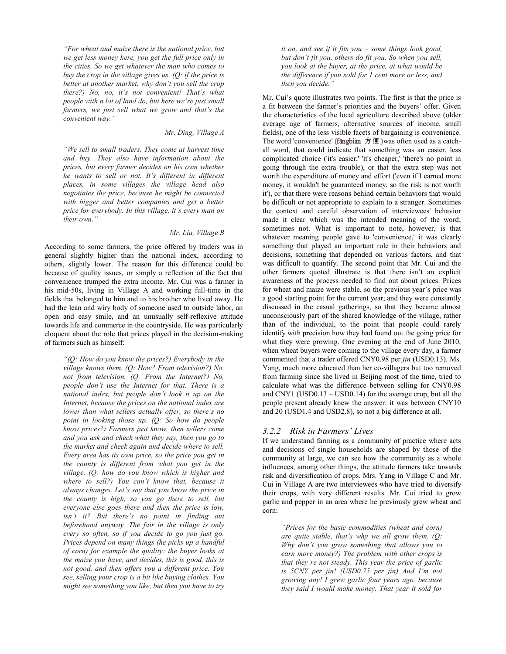*"For wheat and maize there is the national price, but we get less money here, you get the full price only in the cities. So we get whatever the man who comes to buy the crop in the village gives us. (Q: if the price is better at another market, why don't you sell the crop there?) No, no, it's not convenient! That's what people with a lot of land do, but here we're just small farmers, we just sell what we grow and that's the convenient way."* 

#### *Mr. Ding, Village A*

*"We sell to small traders. They come at harvest time and buy. They also have information about the prices, but every farmer decides on his own whether he wants to sell or not. It's different in different places, in some villages the village head also negotiates the price, because he might be connected with bigger and better companies and get a better price for everybody. In this village, it's every man on their own."* 

#### *Mr. Liu, Village B*

According to some farmers, the price offered by traders was in general slightly higher than the national index, according to others, slightly lower. The reason for this difference could be because of quality issues, or simply a reflection of the fact that convenience trumped the extra income. Mr. Cui was a farmer in his mid-50s, living in Village A and working full-time in the fields that belonged to him and to his brother who lived away. He had the lean and wiry body of someone used to outside labor, an open and easy smile, and an unusually self-reflexive attitude towards life and commerce in the countryside. He was particularly eloquent about the role that prices played in the decision-making of farmers such as himself:

*"(Q: How do you know the prices?) Everybody in the village knows them. (Q: How? From television?) No, not from television. (Q: From the Internet?) No, people don't use the Internet for that. There is a national index, but people don't look it up on the Internet, because the prices on the national index are lower than what sellers actually offer, so there's no point in looking those up. (Q: So how do people know prices?) Farmers just know, then sellers come and you ask and check what they say, then you go to the market and check again and decide where to sell. Every area has its own price, so the price you get in the county is different from what you get in the village. (Q: how do you know which is higher and where to sell?) You can't know that, because it always changes. Let's say that you know the price in the county is high, so you go there to sell, but everyone else goes there and then the price is low, isn't it? But there's no point in finding out beforehand anyway. The fair in the village is only every so often, so if you decide to go you just go. Prices depend on many things (he picks up a handful of corn) for example the quality: the buyer looks at the maize you have, and decides, this is good, this is not good, and then offers you a different price. You see, selling your crop is a bit like buying clothes. You might see something you like, but then you have to try*  *it on, and see if it fits you – some things look good, but don't fit you, others do fit you. So when you sell, you look at the buyer, at the price, at what would be the difference if you sold for 1 cent more or less, and then you decide."* 

Mr. Cui's quote illustrates two points. The first is that the price is a fit between the farmer's priorities and the buyers' offer. Given the characteristics of the local agriculture described above (older average age of farmers, alternative sources of income, small fields), one of the less visible facets of bargaining is convenience. The word 'convenience' (fangbian  $\#$  ( $\#$ ) was often used as a catchall word, that could indicate that something was an easier, less complicated choice ('it's easier,' 'it's cheaper,' 'there's no point in going through the extra trouble), or that the extra step was not worth the expenditure of money and effort ('even if I earned more money, it wouldn't be guaranteed money, so the risk is not worth it'), or that there were reasons behind certain behaviors that would be difficult or not appropriate to explain to a stranger. Sometimes the context and careful observation of interviewees' behavior made it clear which was the intended meaning of the word; sometimes not. What is important to note, however, is that whatever meaning people gave to 'convenience,' it was clearly something that played an important role in their behaviors and decisions, something that depended on various factors, and that was difficult to quantify. The second point that Mr. Cui and the other farmers quoted illustrate is that there isn't an explicit awareness of the process needed to find out about prices. Prices for wheat and maize were stable, so the previous year's price was a good starting point for the current year; and they were constantly discussed in the casual gatherings, so that they became almost unconsciously part of the shared knowledge of the village, rather than of the individual, to the point that people could rarely identify with precision how they had found out the going price for what they were growing. One evening at the end of June 2010, when wheat buyers were coming to the village every day, a farmer commented that a trader offered CNY0.98 per *jin* (USD0.13). Ms. Yang, much more educated than her co-villagers but too removed from farming since she lived in Beijing most of the time, tried to calculate what was the difference between selling for CNY0.98 and CNY1 (USD0.13 – USD0.14) for the average crop, but all the people present already knew the answer: it was between CNY10 and 20 (USD1.4 and USD2.8), so not a big difference at all.

#### *3.2.2 Risk in Farmers' Lives*

If we understand farming as a community of practice where acts and decisions of single households are shaped by those of the community at large, we can see how the community as a whole influences, among other things, the attitude farmers take towards risk and diversification of crops. Mrs. Yang in Village C and Mr. Cui in Village A are two interviewees who have tried to diversify their crops, with very different results. Mr. Cui tried to grow garlic and pepper in an area where he previously grew wheat and corn:

*"Prices for the basic commodities (wheat and corn) are quite stable, that's why we all grow them. (Q: Why don't you grow something that allows you to earn more money?) The problem with other crops is that they're not steady. This year the price of garlic is 5CNY per jin! (USD0.75 per jin) And I'm not growing any! I grew garlic four years ago, because they said I would make money. That year it sold for*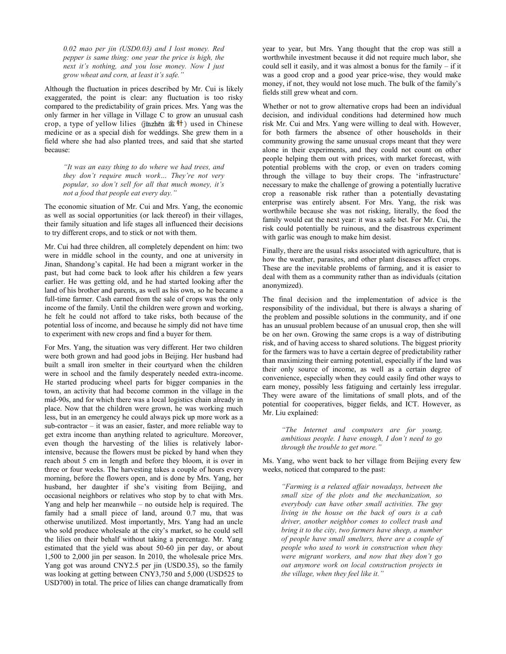*0.02 mao per jin (USD0.03) and I lost money. Red pepper is same thing: one year the price is high, the next it's nothing, and you lose money. Now I just grow wheat and corn, at least it's safe."* 

Although the fluctuation in prices described by Mr. Cui is likely exaggerated, the point is clear: any fluctuation is too risky compared to the predictability of grain prices. Mrs. Yang was the only farmer in her village in Village C to grow an unusual cash crop, a type of yellow lilies (jmzhen  $\hat{\pm}$ ) used in Chinese medicine or as a special dish for weddings. She grew them in a field where she had also planted trees, and said that she started because:

*"It was an easy thing to do where we had trees, and they don't require much work… They're not very popular, so don't sell for all that much money, it's not a food that people eat every day."*

The economic situation of Mr. Cui and Mrs. Yang, the economic as well as social opportunities (or lack thereof) in their villages, their family situation and life stages all influenced their decisions to try different crops, and to stick or not with them.

Mr. Cui had three children, all completely dependent on him: two were in middle school in the county, and one at university in Jinan, Shandong's capital. He had been a migrant worker in the past, but had come back to look after his children a few years earlier. He was getting old, and he had started looking after the land of his brother and parents, as well as his own, so he became a full-time farmer. Cash earned from the sale of crops was the only income of the family. Until the children were grown and working, he felt he could not afford to take risks, both because of the potential loss of income, and because he simply did not have time to experiment with new crops and find a buyer for them.

For Mrs. Yang, the situation was very different. Her two children were both grown and had good jobs in Beijing. Her husband had built a small iron smelter in their courtyard when the children were in school and the family desperately needed extra-income. He started producing wheel parts for bigger companies in the town, an activity that had become common in the village in the mid-90s, and for which there was a local logistics chain already in place. Now that the children were grown, he was working much less, but in an emergency he could always pick up more work as a sub-contractor – it was an easier, faster, and more reliable way to get extra income than anything related to agriculture. Moreover, even though the harvesting of the lilies is relatively laborintensive, because the flowers must be picked by hand when they reach about 5 cm in length and before they bloom, it is over in three or four weeks. The harvesting takes a couple of hours every morning, before the flowers open, and is done by Mrs. Yang, her husband, her daughter if she's visiting from Beijing, and occasional neighbors or relatives who stop by to chat with Mrs. Yang and help her meanwhile – no outside help is required. The family had a small piece of land, around  $0.7$  mu, that was otherwise unutilized. Most importantly, Mrs. Yang had an uncle who sold produce wholesale at the city's market, so he could sell the lilies on their behalf without taking a percentage. Mr. Yang estimated that the yield was about 50-60 jin per day, or about 1,500 to 2,000 jin per season. In 2010, the wholesale price Mrs. Yang got was around CNY2.5 per jin (USD0.35), so the family was looking at getting between CNY3,750 and 5,000 (USD525 to USD700) in total. The price of lilies can change dramatically from year to year, but Mrs. Yang thought that the crop was still a worthwhile investment because it did not require much labor, she could sell it easily, and it was almost a bonus for the family – if it was a good crop and a good year price-wise, they would make money, if not, they would not lose much. The bulk of the family's fields still grew wheat and corn.

Whether or not to grow alternative crops had been an individual decision, and individual conditions had determined how much risk Mr. Cui and Mrs. Yang were willing to deal with. However, for both farmers the absence of other households in their community growing the same unusual crops meant that they were alone in their experiments, and they could not count on other people helping them out with prices, with market forecast, with potential problems with the crop, or even on traders coming through the village to buy their crops. The 'infrastructure' necessary to make the challenge of growing a potentially lucrative crop a reasonable risk rather than a potentially devastating enterprise was entirely absent. For Mrs. Yang, the risk was worthwhile because she was not risking, literally, the food the family would eat the next year: it was a safe bet. For Mr. Cui, the risk could potentially be ruinous, and the disastrous experiment with garlic was enough to make him desist.

Finally, there are the usual risks associated with agriculture, that is how the weather, parasites, and other plant diseases affect crops. These are the inevitable problems of farming, and it is easier to deal with them as a community rather than as individuals (citation anonymized).

The final decision and the implementation of advice is the responsibility of the individual, but there is always a sharing of the problem and possible solutions in the community, and if one has an unusual problem because of an unusual crop, then she will be on her own. Growing the same crops is a way of distributing risk, and of having access to shared solutions. The biggest priority for the farmers was to have a certain degree of predictability rather than maximizing their earning potential, especially if the land was their only source of income, as well as a certain degree of convenience, especially when they could easily find other ways to earn money, possibly less fatiguing and certainly less irregular. They were aware of the limitations of small plots, and of the potential for cooperatives, bigger fields, and ICT. However, as Mr. Liu explained:

*"The Internet and computers are for young, ambitious people. I have enough, I don't need to go through the trouble to get more."* 

Ms. Yang, who went back to her village from Beijing every few weeks, noticed that compared to the past:

*"Farming is a relaxed affair nowadays, between the small size of the plots and the mechanization, so everybody can have other small activities. The guy living in the house on the back of ours is a cab driver, another neighbor comes to collect trash and bring it to the city, two farmers have sheep, a number of people have small smelters, there are a couple of people who used to work in construction when they were migrant workers, and now that they don't go out anymore work on local construction projects in the village, when they feel like it."*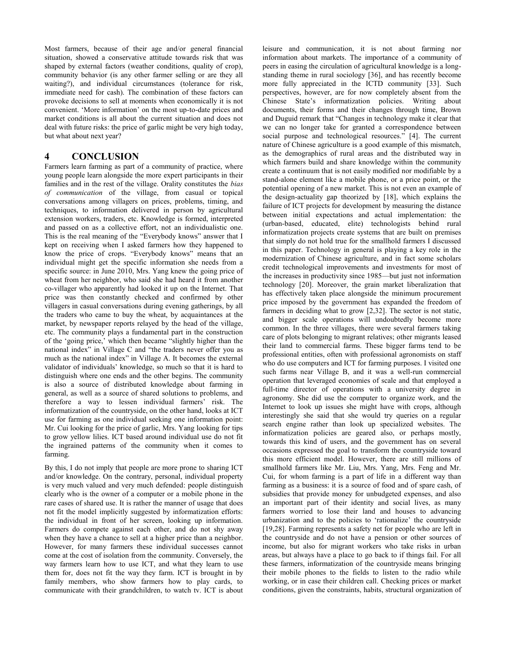Most farmers, because of their age and/or general financial situation, showed a conservative attitude towards risk that was shaped by external factors (weather conditions, quality of crop), community behavior (is any other farmer selling or are they all waiting?), and individual circumstances (tolerance for risk, immediate need for cash). The combination of these factors can provoke decisions to sell at moments when economically it is not convenient. 'More information' on the most up-to-date prices and market conditions is all about the current situation and does not deal with future risks: the price of garlic might be very high today, but what about next year?

# **4 CONCLUSION**

Farmers learn farming as part of a community of practice, where young people learn alongside the more expert participants in their families and in the rest of the village. Orality constitutes the *bias of communication* of the village, from casual or topical conversations among villagers on prices, problems, timing, and techniques, to information delivered in person by agricultural extension workers, traders, etc. Knowledge is formed, interpreted and passed on as a collective effort, not an individualistic one. This is the real meaning of the "Everybody knows" answer that I kept on receiving when I asked farmers how they happened to know the price of crops. "Everybody knows" means that an individual might get the specific information she needs from a specific source: in June 2010, Mrs. Yang knew the going price of wheat from her neighbor, who said she had heard it from another co-villager who apparently had looked it up on the Internet. That price was then constantly checked and confirmed by other villagers in casual conversations during evening gatherings, by all the traders who came to buy the wheat, by acquaintances at the market, by newspaper reports relayed by the head of the village, etc. The community plays a fundamental part in the construction of the 'going price,' which then became "slightly higher than the national index" in Village C and "the traders never offer you as much as the national index" in Village A. It becomes the external validator of individuals' knowledge, so much so that it is hard to distinguish where one ends and the other begins. The community is also a source of distributed knowledge about farming in general, as well as a source of shared solutions to problems, and therefore a way to lessen individual farmers' risk. The informatization of the countryside, on the other hand, looks at ICT use for farming as one individual seeking one information point: Mr. Cui looking for the price of garlic, Mrs. Yang looking for tips to grow yellow lilies. ICT based around individual use do not fit the ingrained patterns of the community when it comes to farming.

By this, I do not imply that people are more prone to sharing ICT and/or knowledge. On the contrary, personal, individual property is very much valued and very much defended: people distinguish clearly who is the owner of a computer or a mobile phone in the rare cases of shared use. It is rather the manner of usage that does not fit the model implicitly suggested by informatization efforts: the individual in front of her screen, looking up information. Farmers do compete against each other, and do not shy away when they have a chance to sell at a higher price than a neighbor. However, for many farmers these individual successes cannot come at the cost of isolation from the community. Conversely, the way farmers learn how to use ICT, and what they learn to use them for, does not fit the way they farm. ICT is brought in by family members, who show farmers how to play cards, to communicate with their grandchildren, to watch tv. ICT is about leisure and communication, it is not about farming nor information about markets. The importance of a community of peers in easing the circulation of agricultural knowledge is a longstanding theme in rural sociology [36], and has recently become more fully appreciated in the ICTD community [33]. Such perspectives, however, are for now completely absent from the Chinese State's informatization policies. Writing about documents, their forms and their changes through time, Brown and Duguid remark that "Changes in technology make it clear that we can no longer take for granted a correspondence between social purpose and technological resources." [4]. The current nature of Chinese agriculture is a good example of this mismatch, as the demographics of rural areas and the distributed way in which farmers build and share knowledge within the community create a continuum that is not easily modified nor modifiable by a stand-alone element like a mobile phone, or a price point, or the potential opening of a new market. This is not even an example of the design-actuality gap theorized by [18], which explains the failure of ICT projects for development by measuring the distance between initial expectations and actual implementation: the (urban-based, educated, elite) technologists behind rural informatization projects create systems that are built on premises that simply do not hold true for the smallhold farmers I discussed in this paper. Technology in general is playing a key role in the modernization of Chinese agriculture, and in fact some scholars credit technological improvements and investments for most of the increases in productivity since 1985—but just not information technology [20]. Moreover, the grain market liberalization that has effectively taken place alongside the minimum procurement price imposed by the government has expanded the freedom of farmers in deciding what to grow [2,32]. The sector is not static, and bigger scale operations will undoubtedly become more common. In the three villages, there were several farmers taking care of plots belonging to migrant relatives; other migrants leased their land to commercial farms. These bigger farms tend to be professional entities, often with professional agronomists on staff who do use computers and ICT for farming purposes. I visited one such farms near Village B, and it was a well-run commercial operation that leveraged economies of scale and that employed a full-time director of operations with a university degree in agronomy. She did use the computer to organize work, and the Internet to look up issues she might have with crops, although interestingly she said that she would try queries on a regular search engine rather than look up specialized websites. The informatization policies are geared also, or perhaps mostly, towards this kind of users, and the government has on several occasions expressed the goal to transform the countryside toward this more efficient model. However, there are still millions of smallhold farmers like Mr. Liu, Mrs. Yang, Mrs. Feng and Mr. Cui, for whom farming is a part of life in a different way than farming as a business: it is a source of food and of spare cash, of subsidies that provide money for unbudgeted expenses, and also an important part of their identity and social lives, as many farmers worried to lose their land and houses to advancing urbanization and to the policies to 'rationalize' the countryside [19,28]. Farming represents a safety net for people who are left in the countryside and do not have a pension or other sources of income, but also for migrant workers who take risks in urban areas, but always have a place to go back to if things fail. For all these farmers, informatization of the countryside means bringing their mobile phones to the fields to listen to the radio while working, or in case their children call. Checking prices or market conditions, given the constraints, habits, structural organization of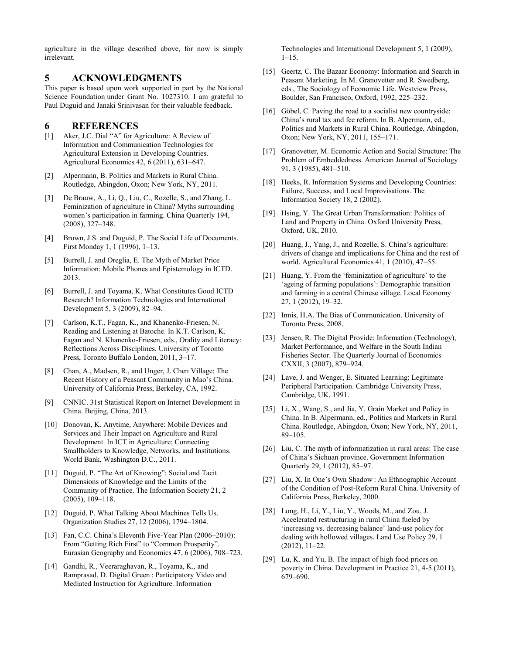agriculture in the village described above, for now is simply irrelevant.

## **5 ACKNOWLEDGMENTS**

This paper is based upon work supported in part by the National Science Foundation under Grant No. 1027310. I am grateful to Paul Duguid and Janaki Srinivasan for their valuable feedback.

# **6 REFERENCES**<br>[1] **Aker, J.C. Dial "A" for A**

- Aker, J.C. Dial "A" for Agriculture: A Review of Information and Communication Technologies for Agricultural Extension in Developing Countries. Agricultural Economics 42, 6 (2011), 631–647.
- [2] Alpermann, B. Politics and Markets in Rural China. Routledge, Abingdon, Oxon; New York, NY, 2011.
- [3] De Brauw, A., Li, Q., Liu, C., Rozelle, S., and Zhang, L. Feminization of agriculture in China? Myths surrounding women's participation in farming. China Quarterly 194, (2008), 327–348.
- [4] Brown, J.S. and Duguid, P. The Social Life of Documents. First Monday 1, 1 (1996), 1–13.
- [5] Burrell, J. and Oreglia, E. The Myth of Market Price Information: Mobile Phones and Epistemology in ICTD. 2013.
- [6] Burrell, J. and Toyama, K. What Constitutes Good ICTD Research? Information Technologies and International Development 5, 3 (2009), 82–94.
- [7] Carlson, K.T., Fagan, K., and Khanenko-Friesen, N. Reading and Listening at Batoche. In K.T. Carlson, K. Fagan and N. Khanenko-Friesen, eds., Orality and Literacy: Reflections Across Disciplines. University of Toronto Press, Toronto Buffalo London, 2011, 3–17.
- [8] Chan, A., Madsen, R., and Unger, J. Chen Village: The Recent History of a Peasant Community in Mao's China. University of California Press, Berkeley, CA, 1992.
- [9] CNNIC. 31st Statistical Report on Internet Development in China. Beijing, China, 2013.
- [10] Donovan, K. Anytime, Anywhere: Mobile Devices and Services and Their Impact on Agriculture and Rural Development. In ICT in Agriculture: Connecting Smallholders to Knowledge, Networks, and Institutions. World Bank, Washington D.C., 2011.
- [11] Duguid, P. "The Art of Knowing": Social and Tacit Dimensions of Knowledge and the Limits of the Community of Practice. The Information Society 21, 2 (2005), 109–118.
- [12] Duguid, P. What Talking About Machines Tells Us. Organization Studies 27, 12 (2006), 1794–1804.
- [13] Fan, C.C. China's Eleventh Five-Year Plan (2006–2010): From "Getting Rich First" to "Common Prosperity". Eurasian Geography and Economics 47, 6 (2006), 708–723.
- [14] Gandhi, R., Veeraraghavan, R., Toyama, K., and Ramprasad, D. Digital Green : Participatory Video and Mediated Instruction for Agriculture. Information

Technologies and International Development 5, 1 (2009),  $1 - 15$ .

- [15] Geertz, C. The Bazaar Economy: Information and Search in Peasant Marketing. In M. Granovetter and R. Swedberg, eds., The Sociology of Economic Life. Westview Press, Boulder, San Francisco, Oxford, 1992, 225–232.
- [16] Göbel, C. Paving the road to a socialist new countryside: China's rural tax and fee reform. In B. Alpermann, ed., Politics and Markets in Rural China. Routledge, Abingdon, Oxon; New York, NY, 2011, 155–171.
- [17] Granovetter, M. Economic Action and Social Structure: The Problem of Embeddedness. American Journal of Sociology 91, 3 (1985), 481–510.
- [18] Heeks, R. Information Systems and Developing Countries: Failure, Success, and Local Improvisations. The Information Society 18, 2 (2002).
- [19] Hsing, Y. The Great Urban Transformation: Politics of Land and Property in China. Oxford University Press, Oxford, UK, 2010.
- [20] Huang, J., Yang, J., and Rozelle, S. China's agriculture: drivers of change and implications for China and the rest of world. Agricultural Economics 41, 1 (2010), 47–55.
- [21] Huang, Y. From the 'feminization of agriculture' to the 'ageing of farming populations': Demographic transition and farming in a central Chinese village. Local Economy 27, 1 (2012), 19–32.
- [22] Innis, H.A. The Bias of Communication. University of Toronto Press, 2008.
- [23] Jensen, R. The Digital Provide: Information (Technology), Market Performance, and Welfare in the South Indian Fisheries Sector. The Quarterly Journal of Economics CXXII, 3 (2007), 879–924.
- [24] Lave, J. and Wenger, E. Situated Learning: Legitimate Peripheral Participation. Cambridge University Press, Cambridge, UK, 1991.
- [25] Li, X., Wang, S., and Jia, Y. Grain Market and Policy in China. In B. Alpermann, ed., Politics and Markets in Rural China. Routledge, Abingdon, Oxon; New York, NY, 2011, 89–105.
- [26] Liu, C. The myth of informatization in rural areas: The case of China's Sichuan province. Government Information Quarterly 29, 1 (2012), 85–97.
- [27] Liu, X. In One's Own Shadow : An Ethnographic Account of the Condition of Post-Reform Rural China. University of California Press, Berkeley, 2000.
- [28] Long, H., Li, Y., Liu, Y., Woods, M., and Zou, J. Accelerated restructuring in rural China fueled by 'increasing vs. decreasing balance' land-use policy for dealing with hollowed villages. Land Use Policy 29, 1 (2012), 11–22.
- [29] Lu, K. and Yu, B. The impact of high food prices on poverty in China. Development in Practice 21, 4-5 (2011), 679–690.